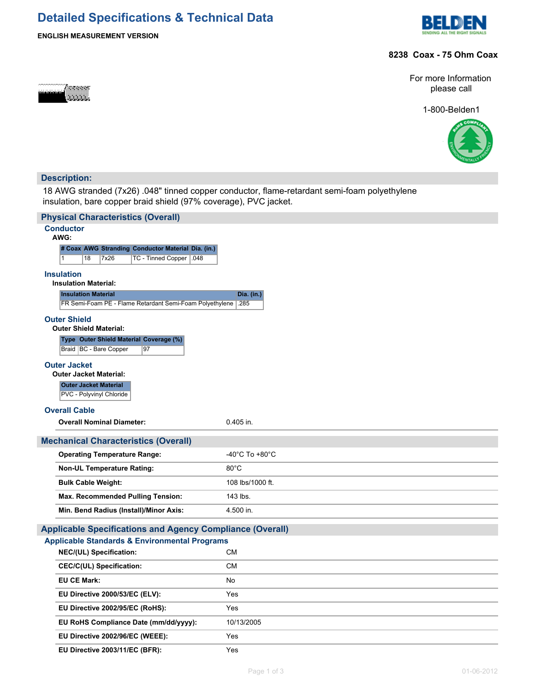## **Detailed Specifications & Technical Data**





#### **8238 Coax - 75 Ohm Coax**

For more Information please call

1-800-Belden1



#### **Description:**

ಹಾರದರ

18 AWG stranded (7x26) .048" tinned copper conductor, flame-retardant semi-foam polyethylene insulation, bare copper braid shield (97% coverage), PVC jacket.

| <b>Physical Characteristics (Overall)</b>                                           |                                      |
|-------------------------------------------------------------------------------------|--------------------------------------|
| <b>Conductor</b>                                                                    |                                      |
| AWG:<br># Coax AWG Stranding Conductor Material Dia. (in.)                          |                                      |
| $\mathbf{1}$<br>18<br>7x26<br>TC - Tinned Copper   .048                             |                                      |
| <b>Insulation</b>                                                                   |                                      |
| <b>Insulation Material:</b>                                                         |                                      |
| <b>Insulation Material</b>                                                          | Dia. (in.)                           |
| FR Semi-Foam PE - Flame Retardant Semi-Foam Polyethylene .285                       |                                      |
| <b>Outer Shield</b>                                                                 |                                      |
| <b>Outer Shield Material:</b><br>Type Outer Shield Material Coverage (%)            |                                      |
| Braid   BC - Bare Copper<br>97                                                      |                                      |
| <b>Outer Jacket</b>                                                                 |                                      |
| <b>Outer Jacket Material:</b>                                                       |                                      |
| <b>Outer Jacket Material</b>                                                        |                                      |
| PVC - Polyvinyl Chloride                                                            |                                      |
| <b>Overall Cable</b>                                                                |                                      |
| <b>Overall Nominal Diameter:</b>                                                    | $0.405$ in.                          |
|                                                                                     |                                      |
| <b>Mechanical Characteristics (Overall)</b>                                         |                                      |
| <b>Operating Temperature Range:</b>                                                 | -40 $^{\circ}$ C To +80 $^{\circ}$ C |
| <b>Non-UL Temperature Rating:</b>                                                   | $80^{\circ}$ C                       |
| <b>Bulk Cable Weight:</b>                                                           | 108 lbs/1000 ft.                     |
| Max. Recommended Pulling Tension:                                                   | 143 lbs.                             |
| Min. Bend Radius (Install)/Minor Axis:                                              | 4.500 in.                            |
|                                                                                     |                                      |
| <b>Applicable Specifications and Agency Compliance (Overall)</b>                    |                                      |
| <b>Applicable Standards &amp; Environmental Programs</b><br>NEC/(UL) Specification: | CМ                                   |
| <b>CEC/C(UL) Specification:</b>                                                     | <b>CM</b>                            |
| <b>EU CE Mark:</b>                                                                  | <b>No</b>                            |
| EU Directive 2000/53/EC (ELV):                                                      | Yes                                  |
| EU Directive 2002/95/EC (RoHS):                                                     | Yes                                  |
| EU RoHS Compliance Date (mm/dd/yyyy):                                               | 10/13/2005                           |
| EU Directive 2002/96/EC (WEEE):                                                     | Yes                                  |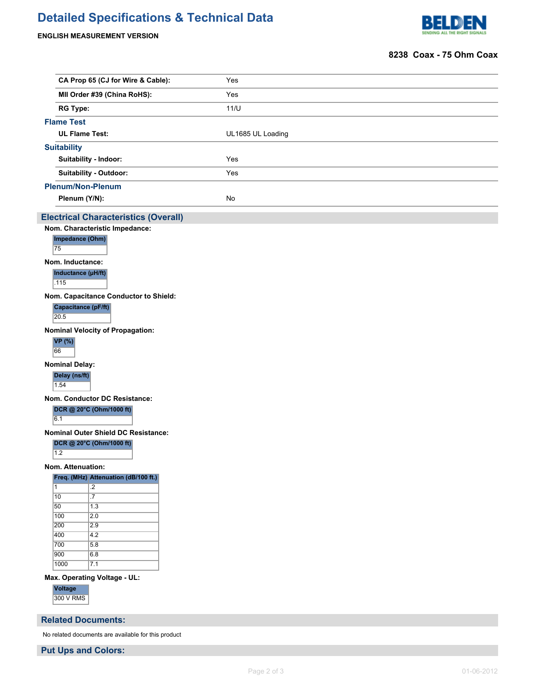# **Detailed Specifications & Technical Data**

#### **ENGLISH MEASUREMENT VERSION**



#### **8238 Coax - 75 Ohm Coax**

|                | CA Prop 65 (CJ for Wire & Cable):                  | Yes               |  |  |  |  |  |  |
|----------------|----------------------------------------------------|-------------------|--|--|--|--|--|--|
|                | MII Order #39 (China RoHS):                        | Yes               |  |  |  |  |  |  |
|                | <b>RG Type:</b>                                    | 11/U              |  |  |  |  |  |  |
|                | <b>Flame Test</b>                                  |                   |  |  |  |  |  |  |
|                | <b>UL Flame Test:</b>                              | UL1685 UL Loading |  |  |  |  |  |  |
|                | <b>Suitability</b>                                 |                   |  |  |  |  |  |  |
|                | Suitability - Indoor:                              | Yes               |  |  |  |  |  |  |
|                | Suitability - Outdoor:                             | Yes               |  |  |  |  |  |  |
|                | <b>Plenum/Non-Plenum</b>                           |                   |  |  |  |  |  |  |
|                | Plenum (Y/N):                                      | No                |  |  |  |  |  |  |
|                | <b>Electrical Characteristics (Overall)</b>        |                   |  |  |  |  |  |  |
|                | Nom. Characteristic Impedance:                     |                   |  |  |  |  |  |  |
|                | Impedance (Ohm)                                    |                   |  |  |  |  |  |  |
|                | 75                                                 |                   |  |  |  |  |  |  |
|                | Nom. Inductance:                                   |                   |  |  |  |  |  |  |
|                | Inductance (µH/ft)<br>.115                         |                   |  |  |  |  |  |  |
|                | Nom. Capacitance Conductor to Shield:              |                   |  |  |  |  |  |  |
|                | Capacitance (pF/ft)                                |                   |  |  |  |  |  |  |
|                | 20.5                                               |                   |  |  |  |  |  |  |
|                | <b>Nominal Velocity of Propagation:</b>            |                   |  |  |  |  |  |  |
|                | <b>VP</b> (%)<br>66                                |                   |  |  |  |  |  |  |
|                | <b>Nominal Delay:</b>                              |                   |  |  |  |  |  |  |
|                | Delay (ns/ft)                                      |                   |  |  |  |  |  |  |
|                | 1.54                                               |                   |  |  |  |  |  |  |
|                | Nom. Conductor DC Resistance:                      |                   |  |  |  |  |  |  |
|                | DCR @ 20°C (Ohm/1000 ft)<br>6.1                    |                   |  |  |  |  |  |  |
|                | <b>Nominal Outer Shield DC Resistance:</b>         |                   |  |  |  |  |  |  |
|                | DCR @ 20°C (Ohm/1000 ft)                           |                   |  |  |  |  |  |  |
|                | 1.2                                                |                   |  |  |  |  |  |  |
|                | Nom. Attenuation:                                  |                   |  |  |  |  |  |  |
|                | Freq. (MHz) Attenuation (dB/100 ft.)               |                   |  |  |  |  |  |  |
| $\overline{1}$ | $\overline{.2}$<br>10<br>$\overline{.7}$           |                   |  |  |  |  |  |  |
|                | 50<br>$\overline{1.3}$                             |                   |  |  |  |  |  |  |
|                | 100<br>$\overline{2.0}$                            |                   |  |  |  |  |  |  |
|                | 200<br>$\overline{2.9}$<br>400<br>$\overline{4.2}$ |                   |  |  |  |  |  |  |
|                | 700<br>5.8                                         |                   |  |  |  |  |  |  |
|                | 900<br>6.8                                         |                   |  |  |  |  |  |  |
|                | 1000<br>$\overline{7.1}$                           |                   |  |  |  |  |  |  |
|                | Max. Operating Voltage - UL:                       |                   |  |  |  |  |  |  |
|                | Voltage                                            |                   |  |  |  |  |  |  |
|                | <b>300 V RMS</b>                                   |                   |  |  |  |  |  |  |

### **Related Documents:**

No related documents are available for this product

**Put Ups and Colors:**